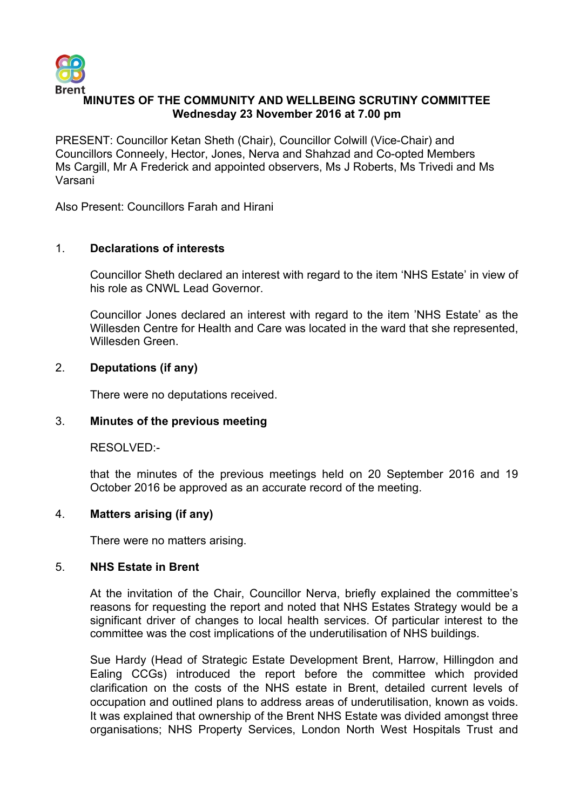

# **MINUTES OF THE COMMUNITY AND WELLBEING SCRUTINY COMMITTEE Wednesday 23 November 2016 at 7.00 pm**

PRESENT: Councillor Ketan Sheth (Chair), Councillor Colwill (Vice-Chair) and Councillors Conneely, Hector, Jones, Nerva and Shahzad and Co-opted Members Ms Cargill, Mr A Frederick and appointed observers, Ms J Roberts, Ms Trivedi and Ms Varsani

Also Present: Councillors Farah and Hirani

# 1. **Declarations of interests**

Councillor Sheth declared an interest with regard to the item 'NHS Estate' in view of his role as CNWL Lead Governor.

Councillor Jones declared an interest with regard to the item 'NHS Estate' as the Willesden Centre for Health and Care was located in the ward that she represented, Willesden Green.

#### 2. **Deputations (if any)**

There were no deputations received.

#### 3. **Minutes of the previous meeting**

RESOLVED:-

that the minutes of the previous meetings held on 20 September 2016 and 19 October 2016 be approved as an accurate record of the meeting.

# 4. **Matters arising (if any)**

There were no matters arising.

#### 5. **NHS Estate in Brent**

At the invitation of the Chair, Councillor Nerva, briefly explained the committee's reasons for requesting the report and noted that NHS Estates Strategy would be a significant driver of changes to local health services. Of particular interest to the committee was the cost implications of the underutilisation of NHS buildings.

Sue Hardy (Head of Strategic Estate Development Brent, Harrow, Hillingdon and Ealing CCGs) introduced the report before the committee which provided clarification on the costs of the NHS estate in Brent, detailed current levels of occupation and outlined plans to address areas of underutilisation, known as voids. It was explained that ownership of the Brent NHS Estate was divided amongst three organisations; NHS Property Services, London North West Hospitals Trust and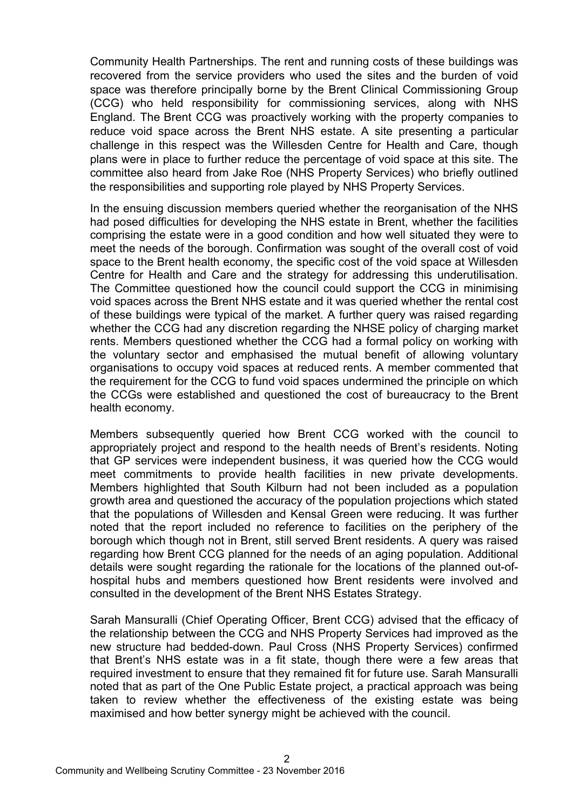Community Health Partnerships. The rent and running costs of these buildings was recovered from the service providers who used the sites and the burden of void space was therefore principally borne by the Brent Clinical Commissioning Group (CCG) who held responsibility for commissioning services, along with NHS England. The Brent CCG was proactively working with the property companies to reduce void space across the Brent NHS estate. A site presenting a particular challenge in this respect was the Willesden Centre for Health and Care, though plans were in place to further reduce the percentage of void space at this site. The committee also heard from Jake Roe (NHS Property Services) who briefly outlined the responsibilities and supporting role played by NHS Property Services.

In the ensuing discussion members queried whether the reorganisation of the NHS had posed difficulties for developing the NHS estate in Brent, whether the facilities comprising the estate were in a good condition and how well situated they were to meet the needs of the borough. Confirmation was sought of the overall cost of void space to the Brent health economy, the specific cost of the void space at Willesden Centre for Health and Care and the strategy for addressing this underutilisation. The Committee questioned how the council could support the CCG in minimising void spaces across the Brent NHS estate and it was queried whether the rental cost of these buildings were typical of the market. A further query was raised regarding whether the CCG had any discretion regarding the NHSE policy of charging market rents. Members questioned whether the CCG had a formal policy on working with the voluntary sector and emphasised the mutual benefit of allowing voluntary organisations to occupy void spaces at reduced rents. A member commented that the requirement for the CCG to fund void spaces undermined the principle on which the CCGs were established and questioned the cost of bureaucracy to the Brent health economy.

Members subsequently queried how Brent CCG worked with the council to appropriately project and respond to the health needs of Brent's residents. Noting that GP services were independent business, it was queried how the CCG would meet commitments to provide health facilities in new private developments. Members highlighted that South Kilburn had not been included as a population growth area and questioned the accuracy of the population projections which stated that the populations of Willesden and Kensal Green were reducing. It was further noted that the report included no reference to facilities on the periphery of the borough which though not in Brent, still served Brent residents. A query was raised regarding how Brent CCG planned for the needs of an aging population. Additional details were sought regarding the rationale for the locations of the planned out-ofhospital hubs and members questioned how Brent residents were involved and consulted in the development of the Brent NHS Estates Strategy.

Sarah Mansuralli (Chief Operating Officer, Brent CCG) advised that the efficacy of the relationship between the CCG and NHS Property Services had improved as the new structure had bedded-down. Paul Cross (NHS Property Services) confirmed that Brent's NHS estate was in a fit state, though there were a few areas that required investment to ensure that they remained fit for future use. Sarah Mansuralli noted that as part of the One Public Estate project, a practical approach was being taken to review whether the effectiveness of the existing estate was being maximised and how better synergy might be achieved with the council.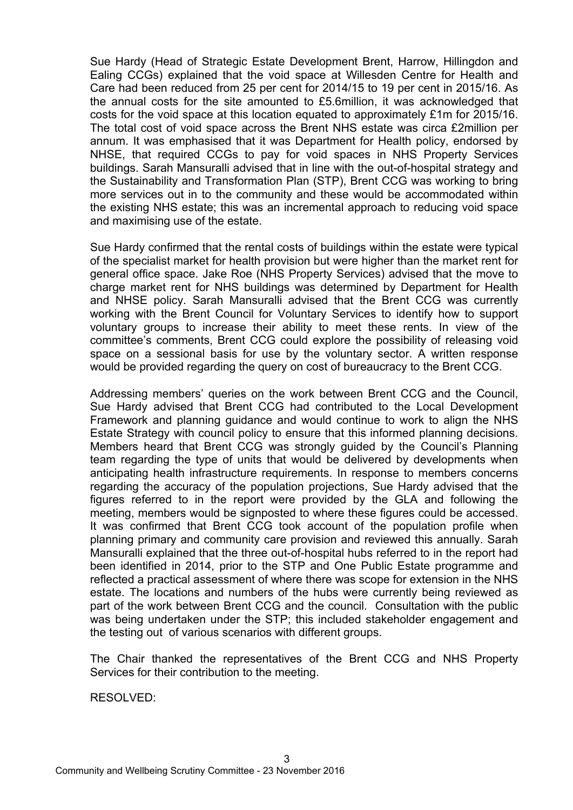Sue Hardy (Head of Strategic Estate Development Brent, Harrow, Hillingdon and Ealing CCGs) explained that the void space at Willesden Centre for Health and Care had been reduced from 25 per cent for 2014/15 to 19 per cent in 2015/16. As the annual costs for the site amounted to £5.6million, it was acknowledged that costs for the void space at this location equated to approximately £1m for 2015/16. The total cost of void space across the Brent NHS estate was circa £2million per annum. It was emphasised that it was Department for Health policy, endorsed by NHSE, that required CCGs to pay for void spaces in NHS Property Services buildings. Sarah Mansuralli advised that in line with the out-of-hospital strategy and the Sustainability and Transformation Plan (STP), Brent CCG was working to bring more services out in to the community and these would be accommodated within the existing NHS estate; this was an incremental approach to reducing void space and maximising use of the estate.

Sue Hardy confirmed that the rental costs of buildings within the estate were typical of the specialist market for health provision but were higher than the market rent for general office space. Jake Roe (NHS Property Services) advised that the move to charge market rent for NHS buildings was determined by Department for Health and NHSE policy. Sarah Mansuralli advised that the Brent CCG was currently working with the Brent Council for Voluntary Services to identify how to support voluntary groups to increase their ability to meet these rents. In view of the committee's comments, Brent CCG could explore the possibility of releasing void space on a sessional basis for use by the voluntary sector. A written response would be provided regarding the query on cost of bureaucracy to the Brent CCG.

Addressing members' queries on the work between Brent CCG and the Council, Sue Hardy advised that Brent CCG had contributed to the Local Development Framework and planning guidance and would continue to work to align the NHS Estate Strategy with council policy to ensure that this informed planning decisions. Members heard that Brent CCG was strongly guided by the Council's Planning team regarding the type of units that would be delivered by developments when anticipating health infrastructure requirements. In response to members concerns regarding the accuracy of the population projections, Sue Hardy advised that the figures referred to in the report were provided by the GLA and following the meeting, members would be signposted to where these figures could be accessed. It was confirmed that Brent CCG took account of the population profile when planning primary and community care provision and reviewed this annually. Sarah Mansuralli explained that the three out-of-hospital hubs referred to in the report had been identified in 2014, prior to the STP and One Public Estate programme and reflected a practical assessment of where there was scope for extension in the NHS estate. The locations and numbers of the hubs were currently being reviewed as part of the work between Brent CCG and the council. Consultation with the public was being undertaken under the STP; this included stakeholder engagement and the testing out of various scenarios with different groups.

The Chair thanked the representatives of the Brent CCG and NHS Property Services for their contribution to the meeting.

RESOLVED: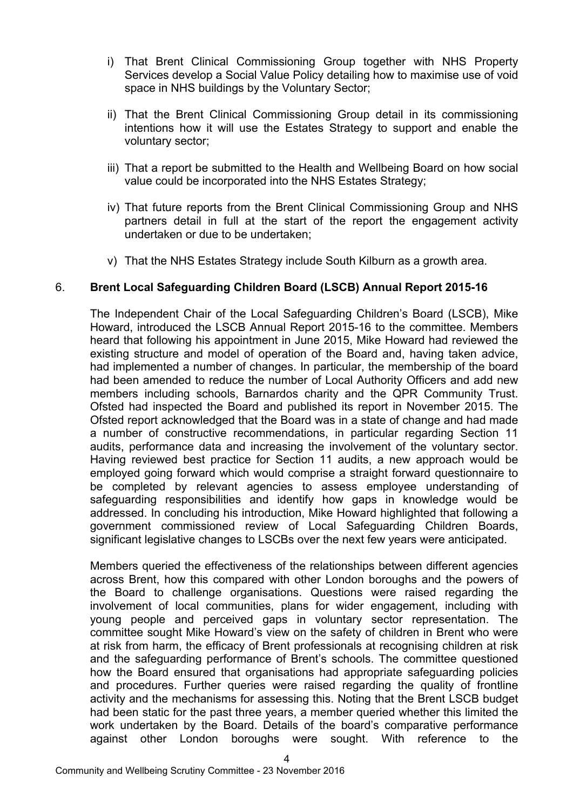- i) That Brent Clinical Commissioning Group together with NHS Property Services develop a Social Value Policy detailing how to maximise use of void space in NHS buildings by the Voluntary Sector;
- ii) That the Brent Clinical Commissioning Group detail in its commissioning intentions how it will use the Estates Strategy to support and enable the voluntary sector;
- iii) That a report be submitted to the Health and Wellbeing Board on how social value could be incorporated into the NHS Estates Strategy;
- iv) That future reports from the Brent Clinical Commissioning Group and NHS partners detail in full at the start of the report the engagement activity undertaken or due to be undertaken;
- v) That the NHS Estates Strategy include South Kilburn as a growth area.

# 6. **Brent Local Safeguarding Children Board (LSCB) Annual Report 2015-16**

The Independent Chair of the Local Safeguarding Children's Board (LSCB), Mike Howard, introduced the LSCB Annual Report 2015-16 to the committee. Members heard that following his appointment in June 2015, Mike Howard had reviewed the existing structure and model of operation of the Board and, having taken advice, had implemented a number of changes. In particular, the membership of the board had been amended to reduce the number of Local Authority Officers and add new members including schools, Barnardos charity and the QPR Community Trust. Ofsted had inspected the Board and published its report in November 2015. The Ofsted report acknowledged that the Board was in a state of change and had made a number of constructive recommendations, in particular regarding Section 11 audits, performance data and increasing the involvement of the voluntary sector. Having reviewed best practice for Section 11 audits, a new approach would be employed going forward which would comprise a straight forward questionnaire to be completed by relevant agencies to assess employee understanding of safeguarding responsibilities and identify how gaps in knowledge would be addressed. In concluding his introduction, Mike Howard highlighted that following a government commissioned review of Local Safeguarding Children Boards, significant legislative changes to LSCBs over the next few years were anticipated.

Members queried the effectiveness of the relationships between different agencies across Brent, how this compared with other London boroughs and the powers of the Board to challenge organisations. Questions were raised regarding the involvement of local communities, plans for wider engagement, including with young people and perceived gaps in voluntary sector representation. The committee sought Mike Howard's view on the safety of children in Brent who were at risk from harm, the efficacy of Brent professionals at recognising children at risk and the safeguarding performance of Brent's schools. The committee questioned how the Board ensured that organisations had appropriate safeguarding policies and procedures. Further queries were raised regarding the quality of frontline activity and the mechanisms for assessing this. Noting that the Brent LSCB budget had been static for the past three years, a member queried whether this limited the work undertaken by the Board. Details of the board's comparative performance against other London boroughs were sought. With reference to the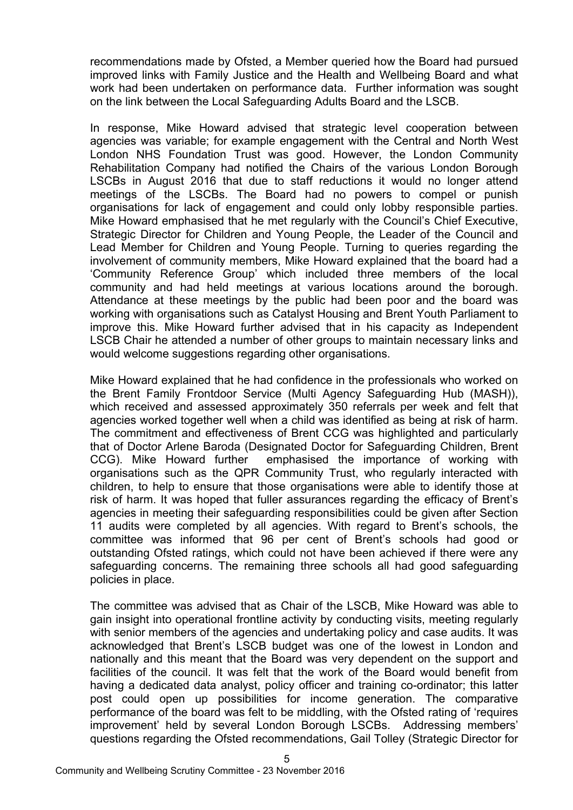recommendations made by Ofsted, a Member queried how the Board had pursued improved links with Family Justice and the Health and Wellbeing Board and what work had been undertaken on performance data. Further information was sought on the link between the Local Safeguarding Adults Board and the LSCB.

In response, Mike Howard advised that strategic level cooperation between agencies was variable; for example engagement with the Central and North West London NHS Foundation Trust was good. However, the London Community Rehabilitation Company had notified the Chairs of the various London Borough LSCBs in August 2016 that due to staff reductions it would no longer attend meetings of the LSCBs. The Board had no powers to compel or punish organisations for lack of engagement and could only lobby responsible parties. Mike Howard emphasised that he met regularly with the Council's Chief Executive, Strategic Director for Children and Young People, the Leader of the Council and Lead Member for Children and Young People. Turning to queries regarding the involvement of community members, Mike Howard explained that the board had a 'Community Reference Group' which included three members of the local community and had held meetings at various locations around the borough. Attendance at these meetings by the public had been poor and the board was working with organisations such as Catalyst Housing and Brent Youth Parliament to improve this. Mike Howard further advised that in his capacity as Independent LSCB Chair he attended a number of other groups to maintain necessary links and would welcome suggestions regarding other organisations.

Mike Howard explained that he had confidence in the professionals who worked on the Brent Family Frontdoor Service (Multi Agency Safeguarding Hub (MASH)), which received and assessed approximately 350 referrals per week and felt that agencies worked together well when a child was identified as being at risk of harm. The commitment and effectiveness of Brent CCG was highlighted and particularly that of Doctor Arlene Baroda (Designated Doctor for Safeguarding Children, Brent CCG). Mike Howard further emphasised the importance of working with organisations such as the QPR Community Trust, who regularly interacted with children, to help to ensure that those organisations were able to identify those at risk of harm. It was hoped that fuller assurances regarding the efficacy of Brent's agencies in meeting their safeguarding responsibilities could be given after Section 11 audits were completed by all agencies. With regard to Brent's schools, the committee was informed that 96 per cent of Brent's schools had good or outstanding Ofsted ratings, which could not have been achieved if there were any safeguarding concerns. The remaining three schools all had good safeguarding policies in place.

The committee was advised that as Chair of the LSCB, Mike Howard was able to gain insight into operational frontline activity by conducting visits, meeting regularly with senior members of the agencies and undertaking policy and case audits. It was acknowledged that Brent's LSCB budget was one of the lowest in London and nationally and this meant that the Board was very dependent on the support and facilities of the council. It was felt that the work of the Board would benefit from having a dedicated data analyst, policy officer and training co-ordinator; this latter post could open up possibilities for income generation. The comparative performance of the board was felt to be middling, with the Ofsted rating of 'requires improvement' held by several London Borough LSCBs. Addressing members' questions regarding the Ofsted recommendations, Gail Tolley (Strategic Director for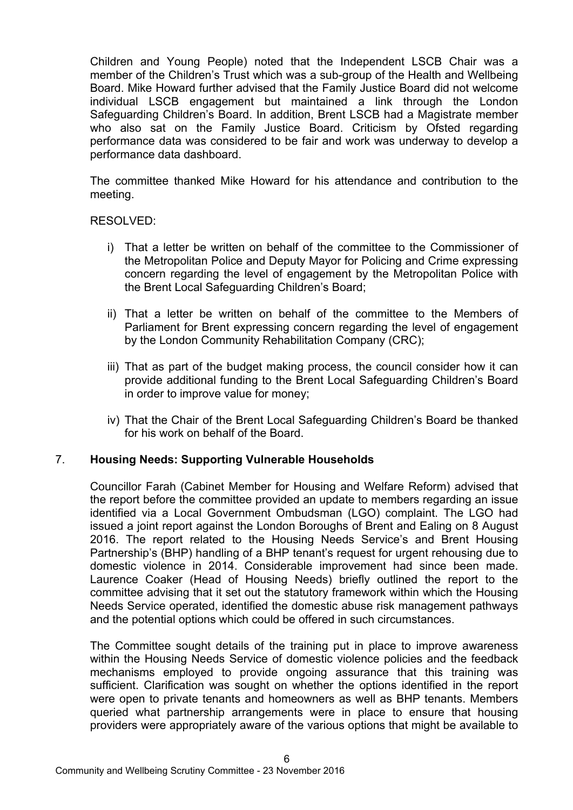Children and Young People) noted that the Independent LSCB Chair was a member of the Children's Trust which was a sub-group of the Health and Wellbeing Board. Mike Howard further advised that the Family Justice Board did not welcome individual LSCB engagement but maintained a link through the London Safeguarding Children's Board. In addition, Brent LSCB had a Magistrate member who also sat on the Family Justice Board. Criticism by Ofsted regarding performance data was considered to be fair and work was underway to develop a performance data dashboard.

The committee thanked Mike Howard for his attendance and contribution to the meeting.

#### RESOLVED:

- i) That a letter be written on behalf of the committee to the Commissioner of the Metropolitan Police and Deputy Mayor for Policing and Crime expressing concern regarding the level of engagement by the Metropolitan Police with the Brent Local Safeguarding Children's Board;
- ii) That a letter be written on behalf of the committee to the Members of Parliament for Brent expressing concern regarding the level of engagement by the London Community Rehabilitation Company (CRC);
- iii) That as part of the budget making process, the council consider how it can provide additional funding to the Brent Local Safeguarding Children's Board in order to improve value for money;
- iv) That the Chair of the Brent Local Safeguarding Children's Board be thanked for his work on behalf of the Board.

# 7. **Housing Needs: Supporting Vulnerable Households**

Councillor Farah (Cabinet Member for Housing and Welfare Reform) advised that the report before the committee provided an update to members regarding an issue identified via a Local Government Ombudsman (LGO) complaint. The LGO had issued a joint report against the London Boroughs of Brent and Ealing on 8 August 2016. The report related to the Housing Needs Service's and Brent Housing Partnership's (BHP) handling of a BHP tenant's request for urgent rehousing due to domestic violence in 2014. Considerable improvement had since been made. Laurence Coaker (Head of Housing Needs) briefly outlined the report to the committee advising that it set out the statutory framework within which the Housing Needs Service operated, identified the domestic abuse risk management pathways and the potential options which could be offered in such circumstances.

The Committee sought details of the training put in place to improve awareness within the Housing Needs Service of domestic violence policies and the feedback mechanisms employed to provide ongoing assurance that this training was sufficient. Clarification was sought on whether the options identified in the report were open to private tenants and homeowners as well as BHP tenants. Members queried what partnership arrangements were in place to ensure that housing providers were appropriately aware of the various options that might be available to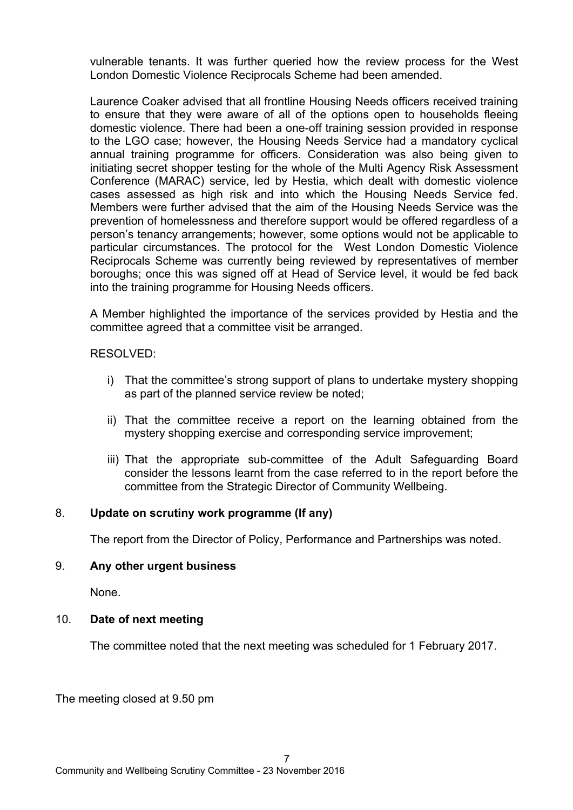vulnerable tenants. It was further queried how the review process for the West London Domestic Violence Reciprocals Scheme had been amended.

Laurence Coaker advised that all frontline Housing Needs officers received training to ensure that they were aware of all of the options open to households fleeing domestic violence. There had been a one-off training session provided in response to the LGO case; however, the Housing Needs Service had a mandatory cyclical annual training programme for officers. Consideration was also being given to initiating secret shopper testing for the whole of the Multi Agency Risk Assessment Conference (MARAC) service, led by Hestia, which dealt with domestic violence cases assessed as high risk and into which the Housing Needs Service fed. Members were further advised that the aim of the Housing Needs Service was the prevention of homelessness and therefore support would be offered regardless of a person's tenancy arrangements; however, some options would not be applicable to particular circumstances. The protocol for the West London Domestic Violence Reciprocals Scheme was currently being reviewed by representatives of member boroughs; once this was signed off at Head of Service level, it would be fed back into the training programme for Housing Needs officers.

A Member highlighted the importance of the services provided by Hestia and the committee agreed that a committee visit be arranged.

RESOLVED:

- i) That the committee's strong support of plans to undertake mystery shopping as part of the planned service review be noted;
- ii) That the committee receive a report on the learning obtained from the mystery shopping exercise and corresponding service improvement;
- iii) That the appropriate sub-committee of the Adult Safeguarding Board consider the lessons learnt from the case referred to in the report before the committee from the Strategic Director of Community Wellbeing.

# 8. **Update on scrutiny work programme (If any)**

The report from the Director of Policy, Performance and Partnerships was noted.

#### 9. **Any other urgent business**

None.

# 10. **Date of next meeting**

The committee noted that the next meeting was scheduled for 1 February 2017.

The meeting closed at 9.50 pm